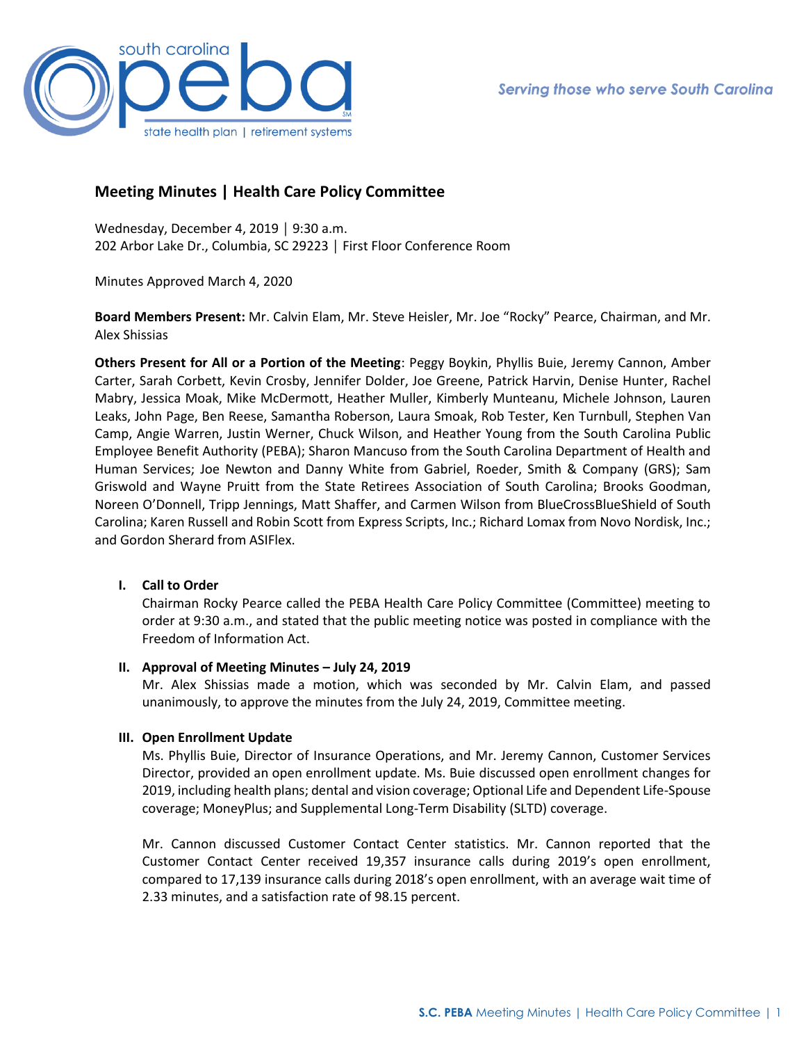

# **Meeting Minutes | Health Care Policy Committee**

Wednesday, December 4, 2019 │ 9:30 a.m. 202 Arbor Lake Dr., Columbia, SC 29223 │ First Floor Conference Room

Minutes Approved March 4, 2020

**Board Members Present:** Mr. Calvin Elam, Mr. Steve Heisler, Mr. Joe "Rocky" Pearce, Chairman, and Mr. Alex Shissias

**Others Present for All or a Portion of the Meeting**: Peggy Boykin, Phyllis Buie, Jeremy Cannon, Amber Carter, Sarah Corbett, Kevin Crosby, Jennifer Dolder, Joe Greene, Patrick Harvin, Denise Hunter, Rachel Mabry, Jessica Moak, Mike McDermott, Heather Muller, Kimberly Munteanu, Michele Johnson, Lauren Leaks, John Page, Ben Reese, Samantha Roberson, Laura Smoak, Rob Tester, Ken Turnbull, Stephen Van Camp, Angie Warren, Justin Werner, Chuck Wilson, and Heather Young from the South Carolina Public Employee Benefit Authority (PEBA); Sharon Mancuso from the South Carolina Department of Health and Human Services; Joe Newton and Danny White from Gabriel, Roeder, Smith & Company (GRS); Sam Griswold and Wayne Pruitt from the State Retirees Association of South Carolina; Brooks Goodman, Noreen O'Donnell, Tripp Jennings, Matt Shaffer, and Carmen Wilson from BlueCrossBlueShield of South Carolina; Karen Russell and Robin Scott from Express Scripts, Inc.; Richard Lomax from Novo Nordisk, Inc.; and Gordon Sherard from ASIFlex.

## **I. Call to Order**

Chairman Rocky Pearce called the PEBA Health Care Policy Committee (Committee) meeting to order at 9:30 a.m., and stated that the public meeting notice was posted in compliance with the Freedom of Information Act.

## **II. Approval of Meeting Minutes – July 24, 2019**

Mr. Alex Shissias made a motion, which was seconded by Mr. Calvin Elam, and passed unanimously, to approve the minutes from the July 24, 2019, Committee meeting.

## **III. Open Enrollment Update**

Ms. Phyllis Buie, Director of Insurance Operations, and Mr. Jeremy Cannon, Customer Services Director, provided an open enrollment update. Ms. Buie discussed open enrollment changes for 2019, including health plans; dental and vision coverage; Optional Life and Dependent Life-Spouse coverage; MoneyPlus; and Supplemental Long-Term Disability (SLTD) coverage.

Mr. Cannon discussed Customer Contact Center statistics. Mr. Cannon reported that the Customer Contact Center received 19,357 insurance calls during 2019's open enrollment, compared to 17,139 insurance calls during 2018's open enrollment, with an average wait time of 2.33 minutes, and a satisfaction rate of 98.15 percent.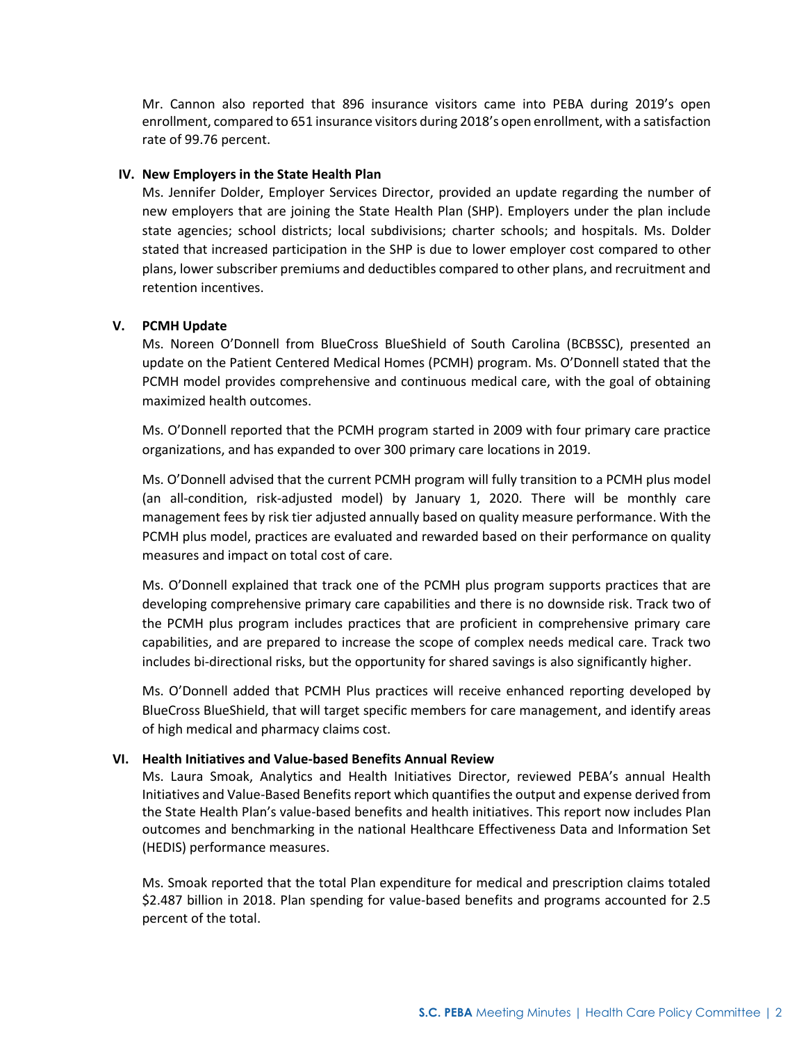Mr. Cannon also reported that 896 insurance visitors came into PEBA during 2019's open enrollment, compared to 651 insurance visitors during 2018's open enrollment, with a satisfaction rate of 99.76 percent.

#### **IV. New Employers in the State Health Plan**

Ms. Jennifer Dolder, Employer Services Director, provided an update regarding the number of new employers that are joining the State Health Plan (SHP). Employers under the plan include state agencies; school districts; local subdivisions; charter schools; and hospitals. Ms. Dolder stated that increased participation in the SHP is due to lower employer cost compared to other plans, lower subscriber premiums and deductibles compared to other plans, and recruitment and retention incentives.

## **V. PCMH Update**

Ms. Noreen O'Donnell from BlueCross BlueShield of South Carolina (BCBSSC), presented an update on the Patient Centered Medical Homes (PCMH) program. Ms. O'Donnell stated that the PCMH model provides comprehensive and continuous medical care, with the goal of obtaining maximized health outcomes.

Ms. O'Donnell reported that the PCMH program started in 2009 with four primary care practice organizations, and has expanded to over 300 primary care locations in 2019.

Ms. O'Donnell advised that the current PCMH program will fully transition to a PCMH plus model (an all-condition, risk-adjusted model) by January 1, 2020. There will be monthly care management fees by risk tier adjusted annually based on quality measure performance. With the PCMH plus model, practices are evaluated and rewarded based on their performance on quality measures and impact on total cost of care.

Ms. O'Donnell explained that track one of the PCMH plus program supports practices that are developing comprehensive primary care capabilities and there is no downside risk. Track two of the PCMH plus program includes practices that are proficient in comprehensive primary care capabilities, and are prepared to increase the scope of complex needs medical care. Track two includes bi-directional risks, but the opportunity for shared savings is also significantly higher.

Ms. O'Donnell added that PCMH Plus practices will receive enhanced reporting developed by BlueCross BlueShield, that will target specific members for care management, and identify areas of high medical and pharmacy claims cost.

#### **VI. Health Initiatives and Value-based Benefits Annual Review**

Ms. Laura Smoak, Analytics and Health Initiatives Director, reviewed PEBA's annual Health Initiatives and Value-Based Benefits report which quantifiesthe output and expense derived from the State Health Plan's value-based benefits and health initiatives. This report now includes Plan outcomes and benchmarking in the national Healthcare Effectiveness Data and Information Set (HEDIS) performance measures.

Ms. Smoak reported that the total Plan expenditure for medical and prescription claims totaled \$2.487 billion in 2018. Plan spending for value-based benefits and programs accounted for 2.5 percent of the total.